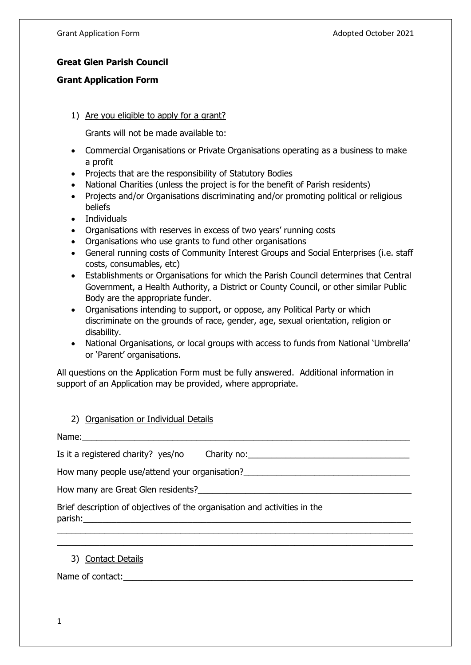## **Great Glen Parish Council**

## **Grant Application Form**

1) Are you eligible to apply for a grant?

Grants will not be made available to:

- Commercial Organisations or Private Organisations operating as a business to make a profit
- Projects that are the responsibility of Statutory Bodies
- National Charities (unless the project is for the benefit of Parish residents)
- Projects and/or Organisations discriminating and/or promoting political or religious beliefs
- Individuals
- Organisations with reserves in excess of two years' running costs
- Organisations who use grants to fund other organisations
- General running costs of Community Interest Groups and Social Enterprises (i.e. staff costs, consumables, etc)
- Establishments or Organisations for which the Parish Council determines that Central Government, a Health Authority, a District or County Council, or other similar Public Body are the appropriate funder.
- Organisations intending to support, or oppose, any Political Party or which discriminate on the grounds of race, gender, age, sexual orientation, religion or disability.
- National Organisations, or local groups with access to funds from National 'Umbrella' or 'Parent' organisations.

All questions on the Application Form must be fully answered. Additional information in support of an Application may be provided, where appropriate.

\_\_\_\_\_\_\_\_\_\_\_\_\_\_\_\_\_\_\_\_\_\_\_\_\_\_\_\_\_\_\_\_\_\_\_\_\_\_\_\_\_\_\_\_\_\_\_\_\_\_\_\_\_\_\_\_\_\_\_\_\_\_\_\_\_\_\_\_\_\_\_\_\_\_\_ \_\_\_\_\_\_\_\_\_\_\_\_\_\_\_\_\_\_\_\_\_\_\_\_\_\_\_\_\_\_\_\_\_\_\_\_\_\_\_\_\_\_\_\_\_\_\_\_\_\_\_\_\_\_\_\_\_\_\_\_\_\_\_\_\_\_\_\_\_\_\_\_\_\_\_

## 2) Organisation or Individual Details

Name:

Is it a reqistered charity? yes/no Charity no: \_\_\_\_\_\_\_\_\_\_\_\_\_\_\_\_\_\_\_\_\_\_\_\_\_\_\_\_\_\_\_\_\_

How many people use/attend your organisation?

How many are Great Glen residents? The state of the state of the state of the state of the state of the state o

| Brief description of objectives of the organisation and activities in the |  |
|---------------------------------------------------------------------------|--|
| parish:                                                                   |  |

3) Contact Details

Name of contact: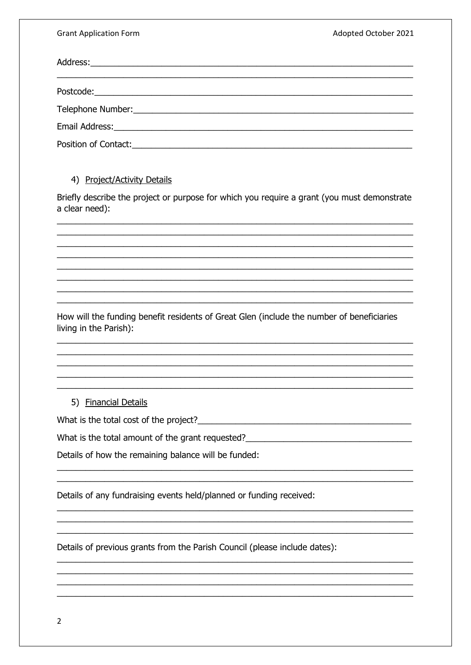**Grant Application Form** 

Adopted October 2021

| Position of Contact: The Context of Contact: |  |  |  |  |
|----------------------------------------------|--|--|--|--|

## 4) Project/Activity Details

Briefly describe the project or purpose for which you require a grant (you must demonstrate a clear need):

How will the funding benefit residents of Great Glen (include the number of beneficiaries living in the Parish):

5) Financial Details

What is the total cost of the project?

What is the total amount of the grant requested?

Details of how the remaining balance will be funded:

Details of any fundraising events held/planned or funding received:

Details of previous grants from the Parish Council (please include dates):